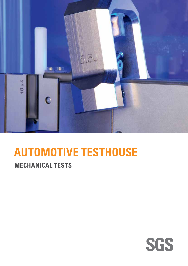

# **Automotive Testhouse**

## **mechanical tests**